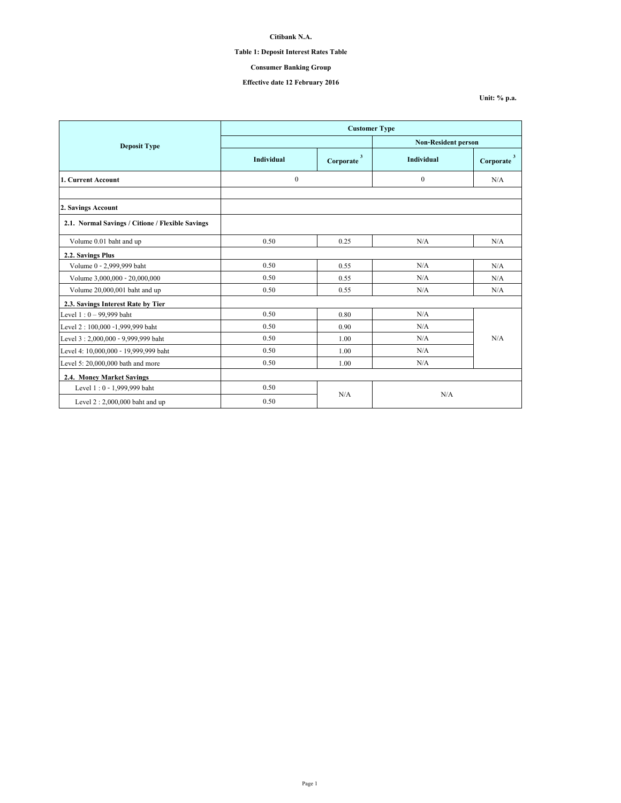# **Table 1: Deposit Interest Rates Table**

## **Consumer Banking Group**

## **Effective date 12 February 2016**

|                                                  | <b>Customer Type</b> |                                      |                            |                                      |  |
|--------------------------------------------------|----------------------|--------------------------------------|----------------------------|--------------------------------------|--|
| <b>Deposit Type</b>                              |                      |                                      | <b>Non-Resident person</b> |                                      |  |
|                                                  | <b>Individual</b>    | $\overline{\mathbf{3}}$<br>Corporate | Individual                 | $\overline{\mathbf{3}}$<br>Corporate |  |
| 1. Current Account                               | $\theta$             |                                      | $\theta$                   | N/A                                  |  |
| 2. Savings Account                               |                      |                                      |                            |                                      |  |
| 2.1. Normal Savings / Citione / Flexible Savings |                      |                                      |                            |                                      |  |
| Volume 0.01 baht and up                          | 0.50                 | 0.25                                 | N/A                        | N/A                                  |  |
| 2.2. Savings Plus                                |                      |                                      |                            |                                      |  |
| Volume 0 - 2,999,999 baht                        | 0.50                 | 0.55                                 | N/A                        | N/A                                  |  |
| Volume 3,000,000 - 20,000,000                    | 0.50                 | 0.55                                 | N/A                        | N/A                                  |  |
| Volume 20,000,001 baht and up                    | 0.50                 | 0.55                                 | N/A                        | N/A                                  |  |
| 2.3. Savings Interest Rate by Tier               |                      |                                      |                            |                                      |  |
| Level $1:0 - 99,999$ baht                        | 0.50                 | 0.80                                 | N/A                        |                                      |  |
| Level 2:100,000 -1,999,999 baht                  | 0.50                 | 0.90                                 | N/A                        |                                      |  |
| Level 3:2,000,000 - 9,999,999 baht               | 0.50                 | 1.00                                 | N/A                        | N/A                                  |  |
| Level 4: 10,000,000 - 19,999,999 baht            | 0.50                 | 1.00                                 | N/A                        |                                      |  |
| Level 5: 20,000,000 bath and more                | 0.50                 | 1.00                                 | N/A                        |                                      |  |
| 2.4. Money Market Savings                        |                      |                                      |                            |                                      |  |
| Level 1:0 - 1,999,999 baht                       | 0.50                 |                                      |                            |                                      |  |
| Level $2:2,000,000$ baht and up                  | 0.50                 | N/A                                  | N/A                        |                                      |  |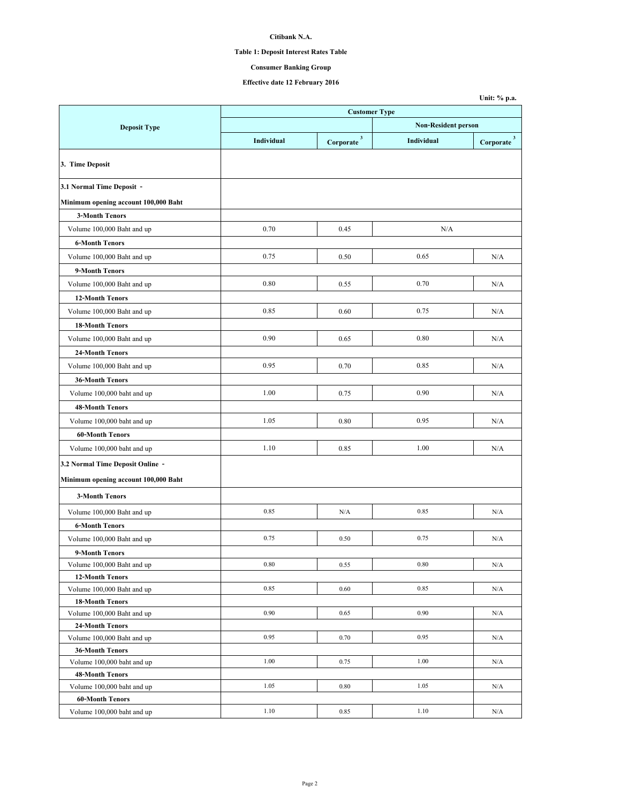# **Table 1: Deposit Interest Rates Table**

## **Consumer Banking Group**

## **Effective date 12 February 2016**

|                                              |            |                          |                            | Unit: % p.a.             |  |  |  |
|----------------------------------------------|------------|--------------------------|----------------------------|--------------------------|--|--|--|
|                                              |            | <b>Customer Type</b>     |                            |                          |  |  |  |
| <b>Deposit Type</b>                          |            |                          | <b>Non-Resident person</b> |                          |  |  |  |
|                                              | Individual | $Corporate$ <sup>3</sup> | Individual                 | $Corporate$ <sup>3</sup> |  |  |  |
| 3. Time Deposit                              |            |                          |                            |                          |  |  |  |
| 3.1 Normal Time Deposit -                    |            |                          |                            |                          |  |  |  |
| Minimum opening account 100,000 Baht         |            |                          |                            |                          |  |  |  |
| <b>3-Month Tenors</b>                        |            |                          |                            |                          |  |  |  |
| Volume 100,000 Baht and up                   | 0.70       | 0.45                     | N/A                        |                          |  |  |  |
| <b>6-Month Tenors</b>                        |            |                          |                            |                          |  |  |  |
| Volume 100,000 Baht and up                   | 0.75       | 0.50                     | 0.65                       | N/A                      |  |  |  |
| 9-Month Tenors                               |            |                          |                            |                          |  |  |  |
| Volume 100,000 Baht and up                   | 0.80       | 0.55                     | 0.70                       | N/A                      |  |  |  |
| <b>12-Month Tenors</b>                       |            |                          |                            |                          |  |  |  |
| Volume 100,000 Baht and up                   | 0.85       | 0.60                     | 0.75                       | N/A                      |  |  |  |
|                                              |            |                          |                            |                          |  |  |  |
| <b>18-Month Tenors</b>                       |            |                          |                            |                          |  |  |  |
| Volume 100,000 Baht and up                   | 0.90       | 0.65                     | 0.80                       | N/A                      |  |  |  |
| <b>24-Month Tenors</b>                       |            |                          |                            |                          |  |  |  |
| Volume 100,000 Baht and up                   | 0.95       | 0.70                     | 0.85                       | N/A                      |  |  |  |
| <b>36-Month Tenors</b>                       |            |                          |                            |                          |  |  |  |
| Volume 100,000 baht and up                   | 1.00       | 0.75                     | 0.90                       | N/A                      |  |  |  |
| <b>48-Month Tenors</b>                       |            |                          |                            |                          |  |  |  |
| Volume 100,000 baht and up                   | 1.05       | 0.80                     | 0.95                       | N/A                      |  |  |  |
| <b>60-Month Tenors</b>                       |            |                          |                            |                          |  |  |  |
| Volume 100,000 baht and up                   | 1.10       | 0.85                     | 1.00                       | N/A                      |  |  |  |
| 3.2 Normal Time Deposit Online -             |            |                          |                            |                          |  |  |  |
| Minimum opening account 100,000 Baht         |            |                          |                            |                          |  |  |  |
| <b>3-Month Tenors</b>                        |            |                          |                            |                          |  |  |  |
| Volume 100,000 Baht and up                   | 0.85       | N/A                      | 0.85                       | N/A                      |  |  |  |
| <b>6-Month Tenors</b>                        |            |                          |                            |                          |  |  |  |
|                                              | 0.75       | 0.50                     | 0.75                       | N/A                      |  |  |  |
| Volume 100,000 Baht and up                   |            |                          |                            |                          |  |  |  |
| 9-Month Tenors<br>Volume 100,000 Baht and up | 0.80       | 0.55                     | 0.80                       | N/A                      |  |  |  |
| <b>12-Month Tenors</b>                       |            |                          |                            |                          |  |  |  |
| Volume 100,000 Baht and up                   | 0.85       | 0.60                     | 0.85                       | N/A                      |  |  |  |
| <b>18-Month Tenors</b>                       |            |                          |                            |                          |  |  |  |
| Volume 100,000 Baht and up                   | 0.90       | 0.65                     | 0.90                       | N/A                      |  |  |  |
| <b>24-Month Tenors</b>                       |            |                          |                            |                          |  |  |  |
| Volume 100,000 Baht and up                   | 0.95       | 0.70                     | 0.95                       | N/A                      |  |  |  |
| <b>36-Month Tenors</b>                       |            |                          |                            |                          |  |  |  |
| Volume 100,000 baht and up                   | 1.00       | 0.75                     | 1.00                       | N/A                      |  |  |  |
| <b>48-Month Tenors</b>                       |            |                          |                            |                          |  |  |  |
| Volume 100,000 baht and up                   | 1.05       | 0.80                     | 1.05                       | N/A                      |  |  |  |
| <b>60-Month Tenors</b>                       |            |                          |                            |                          |  |  |  |
| Volume 100,000 baht and up                   | 1.10       | 0.85                     | 1.10                       | N/A                      |  |  |  |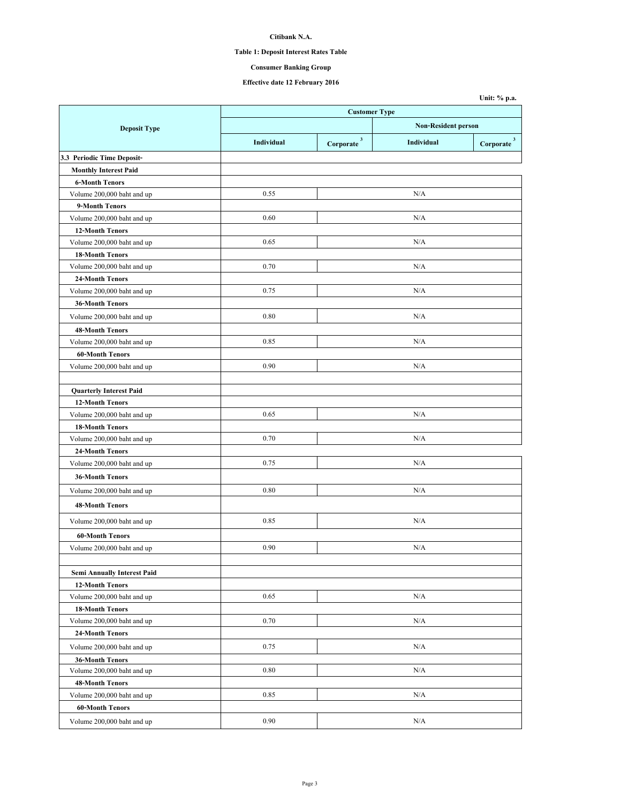# **Table 1: Deposit Interest Rates Table**

# **Consumer Banking Group**

## **Effective date 12 February 2016**

|                                    |            |                            |                         | Unit: % p.a. |  |
|------------------------------------|------------|----------------------------|-------------------------|--------------|--|
|                                    |            | <b>Customer Type</b>       |                         |              |  |
| <b>Deposit Type</b>                |            | <b>Non-Resident person</b> |                         |              |  |
|                                    | Individual | $\sqrt{3}$<br>Corporate    | Individual<br>Corporate |              |  |
| 3.3 Periodic Time Deposit-         |            |                            |                         |              |  |
| <b>Monthly Interest Paid</b>       |            |                            |                         |              |  |
| <b>6-Month Tenors</b>              |            |                            |                         |              |  |
| Volume 200,000 baht and up         | 0.55       |                            | N/A                     |              |  |
| 9-Month Tenors                     |            |                            |                         |              |  |
| Volume 200,000 baht and up         | 0.60       |                            | N/A                     |              |  |
| <b>12-Month Tenors</b>             |            |                            |                         |              |  |
| Volume 200,000 baht and up         | 0.65       |                            | N/A                     |              |  |
| <b>18-Month Tenors</b>             |            |                            |                         |              |  |
| Volume 200,000 baht and up         | 0.70       |                            | N/A                     |              |  |
| <b>24-Month Tenors</b>             |            |                            |                         |              |  |
| Volume 200,000 baht and up         | 0.75       |                            | N/A                     |              |  |
| <b>36-Month Tenors</b>             |            |                            |                         |              |  |
| Volume 200,000 baht and up         | 0.80       |                            | N/A                     |              |  |
| <b>48-Month Tenors</b>             |            |                            |                         |              |  |
| Volume 200,000 baht and up         | 0.85       |                            | N/A                     |              |  |
| <b>60-Month Tenors</b>             |            |                            |                         |              |  |
| Volume 200,000 baht and up         | 0.90       |                            | N/A                     |              |  |
|                                    |            |                            |                         |              |  |
| <b>Quarterly Interest Paid</b>     |            |                            |                         |              |  |
| <b>12-Month Tenors</b>             |            |                            |                         |              |  |
| Volume 200,000 baht and up         | 0.65       |                            | N/A                     |              |  |
| <b>18-Month Tenors</b>             |            |                            |                         |              |  |
| Volume 200,000 baht and up         | 0.70       |                            | N/A                     |              |  |
| 24-Month Tenors                    |            |                            |                         |              |  |
| Volume 200,000 baht and up         | 0.75       |                            | N/A                     |              |  |
| <b>36-Month Tenors</b>             |            |                            |                         |              |  |
| Volume 200,000 baht and up         | 0.80       |                            | N/A                     |              |  |
| <b>48-Month Tenors</b>             |            |                            |                         |              |  |
|                                    |            |                            |                         |              |  |
| Volume 200,000 baht and up         | 0.85       |                            | N/A                     |              |  |
| <b>60-Month Tenors</b>             |            |                            |                         |              |  |
| Volume 200,000 baht and up         | 0.90       |                            | N/A                     |              |  |
|                                    |            |                            |                         |              |  |
| <b>Semi Annually Interest Paid</b> |            |                            |                         |              |  |
| <b>12-Month Tenors</b>             |            |                            |                         |              |  |
| Volume 200,000 baht and up         | 0.65       |                            | N/A                     |              |  |
| <b>18-Month Tenors</b>             |            |                            |                         |              |  |
| Volume 200,000 baht and up         | 0.70       |                            | N/A                     |              |  |
| 24-Month Tenors                    |            |                            |                         |              |  |
| Volume 200,000 baht and up         | 0.75       |                            | N/A                     |              |  |
| <b>36-Month Tenors</b>             |            |                            |                         |              |  |
| Volume 200,000 baht and up         | 0.80       |                            | N/A                     |              |  |
| <b>48-Month Tenors</b>             |            |                            |                         |              |  |
| Volume 200,000 baht and up         | 0.85       |                            | N/A                     |              |  |
| <b>60-Month Tenors</b>             |            |                            |                         |              |  |
| Volume 200,000 baht and up         | 0.90       |                            | N/A                     |              |  |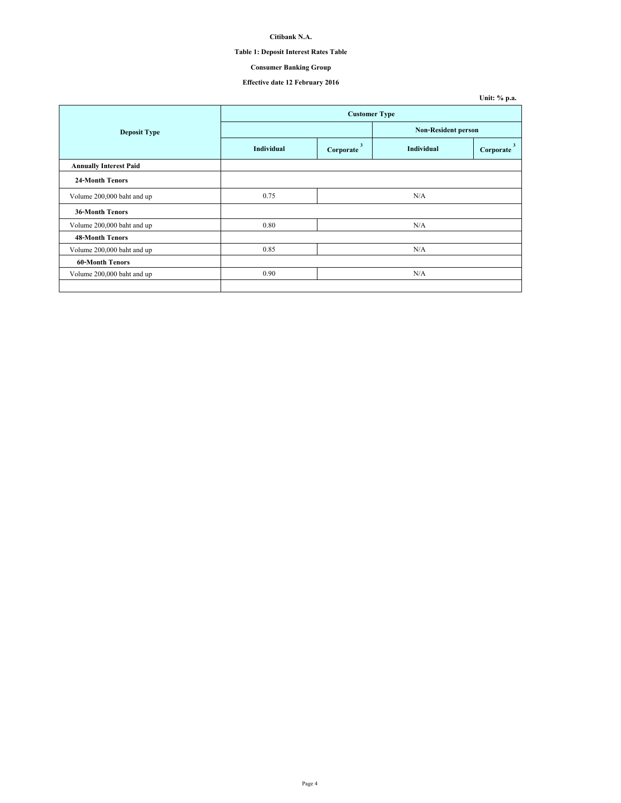# **Table 1: Deposit Interest Rates Table**

# **Consumer Banking Group**

## **Effective date 12 February 2016**

|                               |                      |                |                            | Unit: % p.a.   |  |
|-------------------------------|----------------------|----------------|----------------------------|----------------|--|
|                               | <b>Customer Type</b> |                |                            |                |  |
| <b>Deposit Type</b>           |                      |                | <b>Non-Resident person</b> |                |  |
|                               | <b>Individual</b>    | 3<br>Corporate | <b>Individual</b>          | 3<br>Corporate |  |
| <b>Annually Interest Paid</b> |                      |                |                            |                |  |
| <b>24-Month Tenors</b>        |                      |                |                            |                |  |
| Volume 200,000 baht and up    | 0.75                 |                | N/A                        |                |  |
| <b>36-Month Tenors</b>        |                      |                |                            |                |  |
| Volume 200,000 baht and up    | 0.80                 |                | N/A                        |                |  |
| <b>48-Month Tenors</b>        |                      |                |                            |                |  |
| Volume 200,000 baht and up    | 0.85                 |                | N/A                        |                |  |
| <b>60-Month Tenors</b>        |                      |                |                            |                |  |
| Volume 200,000 baht and up    | 0.90                 |                | N/A                        |                |  |
|                               |                      |                |                            |                |  |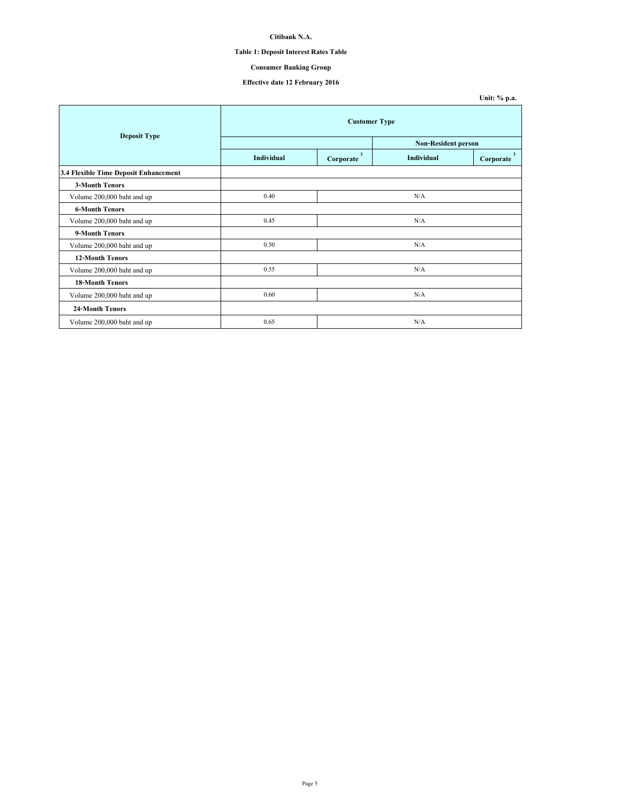# **Table 1: Deposit Interest Rates Table**

## **Consumer Banking Group**

## **Effective date 12 February 2016**

| <b>Deposit Type</b>                   | <b>Customer Type</b> |                                      |                            |                |  |
|---------------------------------------|----------------------|--------------------------------------|----------------------------|----------------|--|
|                                       |                      |                                      | <b>Non-Resident person</b> |                |  |
|                                       | Individual           | $\overline{\mathbf{3}}$<br>Corporate | <b>Individual</b>          | 3<br>Corporate |  |
| 3.4 Flexible Time Deposit Enhancement |                      |                                      |                            |                |  |
| <b>3-Month Tenors</b>                 |                      |                                      |                            |                |  |
| Volume 200,000 baht and up            | 0.40                 |                                      | N/A                        |                |  |
| <b>6-Month Tenors</b>                 |                      |                                      |                            |                |  |
| Volume 200,000 baht and up            | 0.45                 |                                      | N/A                        |                |  |
| 9-Month Tenors                        |                      |                                      |                            |                |  |
| Volume 200,000 baht and up            | 0.50                 |                                      | N/A                        |                |  |
| <b>12-Month Tenors</b>                |                      |                                      |                            |                |  |
| Volume 200,000 baht and up            | 0.55                 |                                      | N/A                        |                |  |
| <b>18-Month Tenors</b>                |                      |                                      |                            |                |  |
| Volume 200,000 baht and up            | 0.60                 |                                      | N/A                        |                |  |
| 24-Month Tenors                       |                      |                                      |                            |                |  |
| Volume 200,000 baht and up            | 0.65                 |                                      | N/A                        |                |  |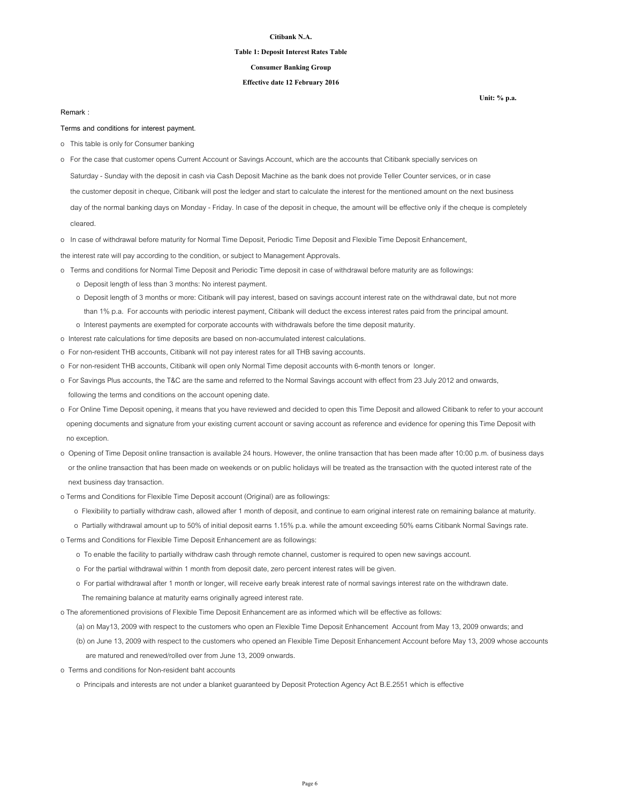#### **Table 1: Deposit Interest Rates Table**

### **Consumer Banking Group**

### **Effective date 12 February 2016**

### **Remark :**

**Terms and conditions for interest payment.**

- o This table is only for Consumer banking
- o For the case that customer opens Current Account or Savings Account, which are the accounts that Citibank specially services on
- Saturday Sunday with the deposit in cash via Cash Deposit Machine as the bank does not provide Teller Counter services, or in case
- the customer deposit in cheque, Citibank will post the ledger and start to calculate the interest for the mentioned amount on the next business

 day of the normal banking days on Monday - Friday. In case of the deposit in cheque, the amount will be effective only if the cheque is completely cleared.

o In case of withdrawal before maturity for Normal Time Deposit, Periodic Time Deposit and Flexible Time Deposit Enhancement,

the interest rate will pay according to the condition, or subject to Management Approvals.

- o Terms and conditions for Normal Time Deposit and Periodic Time deposit in case of withdrawal before maturity are as followings:
	- o Deposit length of less than 3 months: No interest payment.
	- o Deposit length of 3 months or more: Citibank will pay interest, based on savings account interest rate on the withdrawal date, but not more than 1% p.a. For accounts with periodic interest payment, Citibank will deduct the excess interest rates paid from the principal amount.
	- o Interest payments are exempted for corporate accounts with withdrawals before the time deposit maturity.
- o Interest rate calculations for time deposits are based on non-accumulated interest calculations.
- o For non-resident THB accounts, Citibank will not pay interest rates for all THB saving accounts.
- o For non-resident THB accounts, Citibank will open only Normal Time deposit accounts with 6-month tenors or longer.
- o For Savings Plus accounts, the T&C are the same and referred to the Normal Savings account with effect from 23 July 2012 and onwards, following the terms and conditions on the account opening date.
- o For Online Time Deposit opening, it means that you have reviewed and decided to open this Time Deposit and allowed Citibank to refer to your account opening documents and signature from your existing current account or saving account as reference and evidence for opening this Time Deposit with no exception.
- o Opening of Time Deposit online transaction is available 24 hours. However, the online transaction that has been made after 10:00 p.m. of business days or the online transaction that has been made on weekends or on public holidays will be treated as the transaction with the quoted interest rate of the next business day transaction.
- o Terms and Conditions for Flexible Time Deposit account (Original) are as followings:
	- o Flexibility to partially withdraw cash, allowed after 1 month of deposit, and continue to earn original interest rate on remaining balance at maturity.
	- o Partially withdrawal amount up to 50% of initial deposit earns 1.15% p.a. while the amount exceeding 50% earns Citibank Normal Savings rate.
- o Terms and Conditions for Flexible Time Deposit Enhancement are as followings:
	- o To enable the facility to partially withdraw cash through remote channel, customer is required to open new savings account.
	- o For the partial withdrawal within 1 month from deposit date, zero percent interest rates will be given.
	- o For partial withdrawal after 1 month or longer, will receive early break interest rate of normal savings interest rate on the withdrawn date. The remaining balance at maturity earns originally agreed interest rate.
- o The aforementioned provisions of Flexible Time Deposit Enhancement are as informed which will be effective as follows:
	- (a) on May13, 2009 with respect to the customers who open an Flexible Time Deposit Enhancement Account from May 13, 2009 onwards; and
	- (b) on June 13, 2009 with respect to the customers who opened an Flexible Time Deposit Enhancement Account before May 13, 2009 whose accounts are matured and renewed/rolled over from June 13, 2009 onwards.
- o Terms and conditions for Non-resident baht accounts
	- o Principals and interests are not under a blanket guaranteed by Deposit Protection Agency Act B.E.2551 which is effective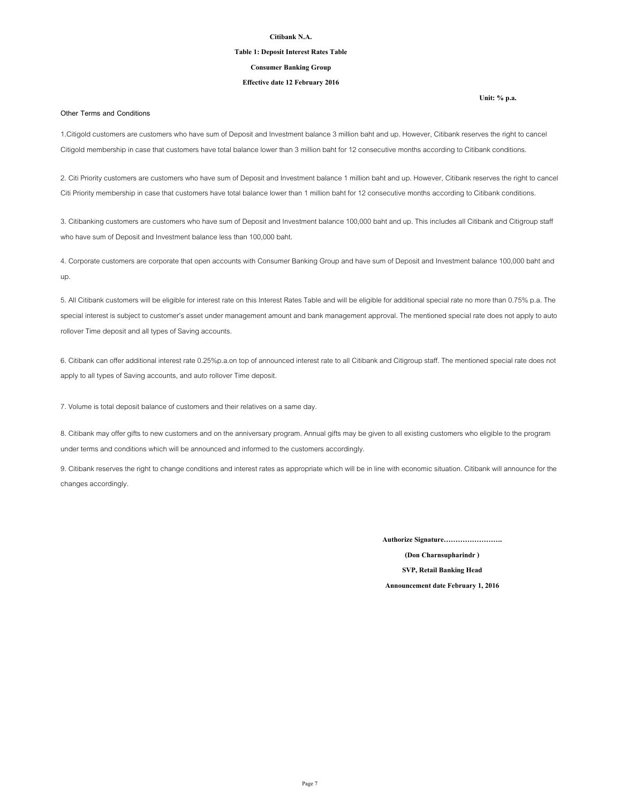### **Table 1: Deposit Interest Rates Table**

### **Consumer Banking Group**

### **Effective date 12 February 2016**

### **Other Terms and Conditions**

1.Citigold customers are customers who have sum of Deposit and Investment balance 3 million baht and up. However, Citibank reserves the right to cancel Citigold membership in case that customers have total balance lower than 3 million baht for 12 consecutive months according to Citibank conditions.

2. Citi Priority customers are customers who have sum of Deposit and Investment balance 1 million baht and up. However, Citibank reserves the right to cancel Citi Priority membership in case that customers have total balance lower than 1 million baht for 12 consecutive months according to Citibank conditions.

3. Citibanking customers are customers who have sum of Deposit and Investment balance 100,000 baht and up. This includes all Citibank and Citigroup staff who have sum of Deposit and Investment balance less than 100,000 baht.

4. Corporate customers are corporate that open accounts with Consumer Banking Group and have sum of Deposit and Investment balance 100,000 baht and up.

5. All Citibank customers will be eligible for interest rate on this Interest Rates Table and will be eligible for additional special rate no more than 0.75% p.a. The special interest is subject to customer's asset under management amount and bank management approval. The mentioned special rate does not apply to auto rollover Time deposit and all types of Saving accounts.

6. Citibank can offer additional interest rate 0.25%p.a.on top of announced interest rate to all Citibank and Citigroup staff. The mentioned special rate does not apply to all types of Saving accounts, and auto rollover Time deposit.

7. Volume is total deposit balance of customers and their relatives on a same day.

8. Citibank may offer gifts to new customers and on the anniversary program. Annual gifts may be given to all existing customers who eligible to the program under terms and conditions which will be announced and informed to the customers accordingly.

9. Citibank reserves the right to change conditions and interest rates as appropriate which will be in line with economic situation. Citibank will announce for the changes accordingly.

**Authorize Signature…………………….**

**(Don Charnsupharindr ) SVP, Retail Banking Head Announcement date February 1, 2016**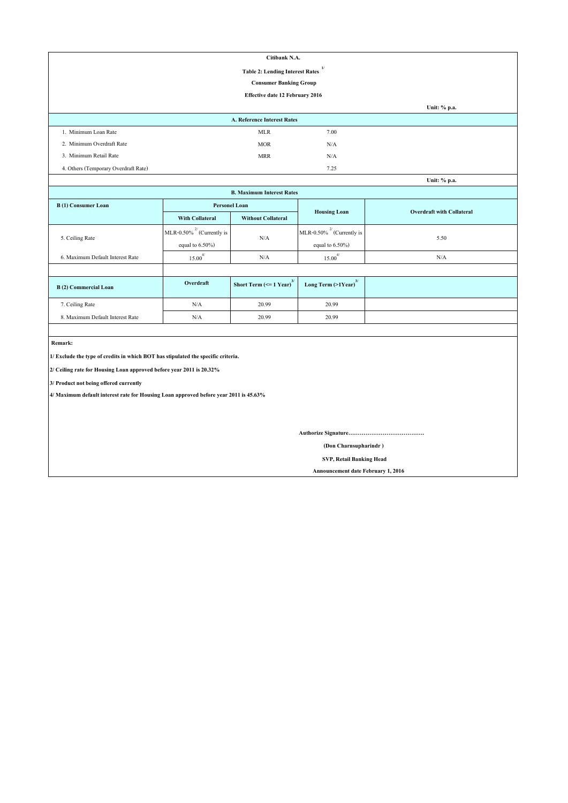| Citibank N.A.                                          |                                 |      |              |  |  |
|--------------------------------------------------------|---------------------------------|------|--------------|--|--|
| $\mathbf{1}$<br><b>Table 2: Lending Interest Rates</b> |                                 |      |              |  |  |
| <b>Consumer Banking Group</b>                          |                                 |      |              |  |  |
|                                                        | Effective date 12 February 2016 |      |              |  |  |
|                                                        |                                 |      | Unit: % p.a. |  |  |
|                                                        | A. Reference Interest Rates     |      |              |  |  |
| 1. Minimum Loan Rate                                   | <b>MLR</b>                      | 7.00 |              |  |  |
| 2. Minimum Overdraft Rate                              | <b>MOR</b>                      | N/A  |              |  |  |
| 3. Minimum Retail Rate                                 | <b>MRR</b>                      | N/A  |              |  |  |
| 4. Others (Temporary Overdraft Rate)                   |                                 | 7.25 |              |  |  |
|                                                        |                                 |      | Unit: % p.a. |  |  |

| Unit: % p.a.                               |                                 |                                               |                                     |                                  |  |  |
|--------------------------------------------|---------------------------------|-----------------------------------------------|-------------------------------------|----------------------------------|--|--|
| <b>B. Maximum Interest Rates</b>           |                                 |                                               |                                     |                                  |  |  |
| <b>Personel Loan</b><br>B(1) Consumer Loan |                                 |                                               |                                     |                                  |  |  |
|                                            | <b>With Collateral</b>          | <b>Without Collateral</b>                     | <b>Housing Loan</b>                 | <b>Overdraft with Collateral</b> |  |  |
|                                            | MLR-0.50% $^{27}$ (Currently is | N/A                                           | MLR-0.50% $^{27}$ (Currently is     | 5.50                             |  |  |
| 5. Ceiling Rate                            | equal to $6.50\%$ )             |                                               | equal to $6.50\%$ )                 |                                  |  |  |
| 6. Maximum Default Interest Rate           | $15.00^{4/}$                    | N/A                                           | $15.00^{4/}$                        | N/A                              |  |  |
|                                            |                                 |                                               |                                     |                                  |  |  |
| B(2) Commercial Loan                       | Overdraft                       | Short Term $\left(\leq 1$ Year) <sup>3/</sup> | Long Term $(>1$ Year) <sup>3/</sup> |                                  |  |  |
| 7. Ceiling Rate                            | N/A                             | 20.99                                         | 20.99                               |                                  |  |  |
| 8. Maximum Default Interest Rate           | N/A                             | 20.99                                         | 20.99                               |                                  |  |  |

 **Remark:**

**1/ Exclude the type of credits in which BOT has stipulated the specific criteria.**

**2/ Ceiling rate for Housing Loan approved before year 2011 is 20.32%**

**3/ Product not being offered currently**

**4/ Maximum default interest rate for Housing Loan approved before year 2011 is 45.63%**

**Authorize Signature………………………………….**

 **(Don Charnsupharindr )**

 **SVP, Retail Banking Head**

 **Announcement date February 1, 2016**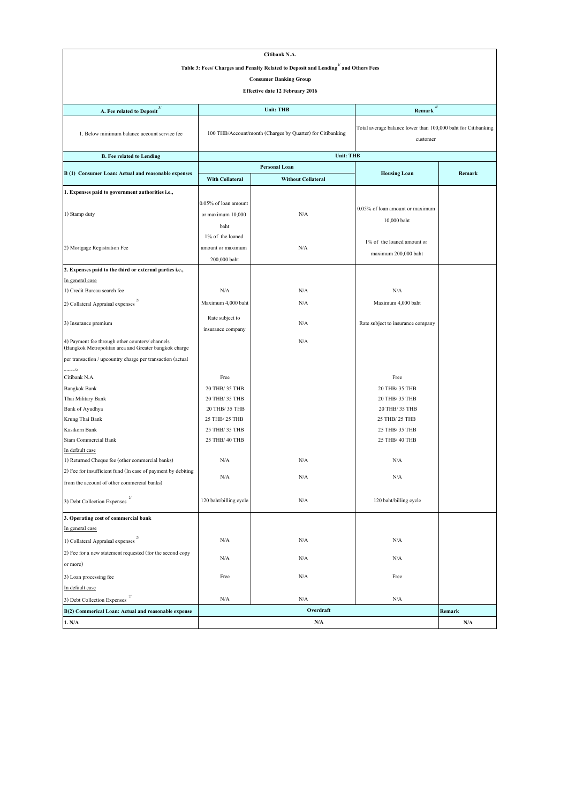| Citibank N.A.                                                                                            |                                  |                                                            |                                                                           |                         |  |
|----------------------------------------------------------------------------------------------------------|----------------------------------|------------------------------------------------------------|---------------------------------------------------------------------------|-------------------------|--|
| Table 3: Fees/ Charges and Penalty Related to Deposit and Lending and Others Fees                        |                                  |                                                            |                                                                           |                         |  |
|                                                                                                          |                                  | <b>Consumer Banking Group</b>                              |                                                                           |                         |  |
|                                                                                                          |                                  | <b>Effective date 12 February 2016</b>                     |                                                                           |                         |  |
|                                                                                                          |                                  |                                                            |                                                                           |                         |  |
| A. Fee related to Deposit <sup>3/</sup>                                                                  | 4/<br>Unit: THB<br>Remark        |                                                            |                                                                           |                         |  |
| 1. Below minimum balance account service fee                                                             |                                  | 100 THB/Account/month (Charges by Quarter) for Citibanking | Total average balance lower than 100,000 baht for Citibanking<br>customer |                         |  |
| <b>B.</b> Fee related to Lending                                                                         |                                  | <b>Unit: THB</b>                                           |                                                                           |                         |  |
|                                                                                                          | Personal Loan                    |                                                            |                                                                           |                         |  |
| B (1) Consumer Loan: Actual and reasonable expenses                                                      | <b>With Collateral</b>           | <b>Without Collateral</b>                                  | <b>Housing Loan</b>                                                       | Remark                  |  |
| 1. Expenses paid to government authorities i.e.,                                                         |                                  |                                                            |                                                                           |                         |  |
|                                                                                                          | 0.05% of loan amount             |                                                            |                                                                           |                         |  |
| 1) Stamp duty                                                                                            | or maximum 10,000                | N/A                                                        | 0.05% of loan amount or maximum                                           |                         |  |
|                                                                                                          | baht                             |                                                            | 10,000 baht                                                               |                         |  |
|                                                                                                          | 1% of the loaned                 |                                                            |                                                                           |                         |  |
| 2) Mortgage Registration Fee                                                                             | amount or maximum                | N/A                                                        | 1% of the loaned amount or                                                |                         |  |
|                                                                                                          |                                  |                                                            | maximum 200,000 baht                                                      |                         |  |
| 2. Expenses paid to the third or external parties i.e.,                                                  | 200,000 baht                     |                                                            |                                                                           |                         |  |
| In general case                                                                                          |                                  |                                                            |                                                                           |                         |  |
| 1) Credit Bureau search fee                                                                              | N/A                              | N/A                                                        | N/A                                                                       |                         |  |
|                                                                                                          | Maximum 4,000 baht               | N/A                                                        | Maximum 4,000 baht                                                        |                         |  |
| 2) Collateral Appraisal expenses                                                                         |                                  |                                                            |                                                                           |                         |  |
| 3) Insurance premium                                                                                     | Rate subject to                  | N/A                                                        | Rate subject to insurance company                                         |                         |  |
|                                                                                                          | insurance company                |                                                            |                                                                           |                         |  |
| 4) Payment fee through other counters/ channels<br>(Bangkok Metropolitan area and Greater bangkok charge |                                  | N/A                                                        |                                                                           |                         |  |
| per transaction / upcountry charge per transaction (actual                                               |                                  |                                                            |                                                                           |                         |  |
| $H_{n+nn}$                                                                                               |                                  |                                                            |                                                                           |                         |  |
| Citibank N.A.                                                                                            | Free                             |                                                            | Free                                                                      |                         |  |
| <b>Bangkok Bank</b>                                                                                      | 20 THB/ 35 THB                   |                                                            | 20 THB/ 35 THB                                                            |                         |  |
| Thai Military Bank                                                                                       | 20 THB/ 35 THB                   |                                                            | 20 THB/ 35 THB                                                            |                         |  |
| Bank of Ayudhya                                                                                          | 20 THB/ 35 THB                   |                                                            | 20 THB/ 35 THB                                                            |                         |  |
| Krung Thai Bank                                                                                          | 25 THB/ 25 THB<br>25 THB/ 35 THB |                                                            | 25 THB/ 25 THB<br>25 THB/ 35 THB                                          |                         |  |
| Kasikorn Bank<br>Siam Commercial Bank                                                                    | 25 THB/ 40 THB                   |                                                            | 25 THB/ 40 THB                                                            |                         |  |
| In default case                                                                                          |                                  |                                                            |                                                                           |                         |  |
| 1) Returned Cheque fee (other commercial banks)                                                          | N/A                              | N/A                                                        | N/A                                                                       |                         |  |
| 2) Fee for insufficient fund (In case of payment by debiting                                             |                                  |                                                            |                                                                           |                         |  |
| from the account of other commercial banks)                                                              | $\rm N/A$                        | N/A                                                        | N/A                                                                       |                         |  |
| 3) Debt Collection Expenses $^{\mathrm{2}}$                                                              | 120 baht/billing cycle           | N/A                                                        | 120 baht/billing cycle                                                    |                         |  |
|                                                                                                          |                                  |                                                            |                                                                           |                         |  |
| 3. Operating cost of commercial bank                                                                     |                                  |                                                            |                                                                           |                         |  |
| In general case                                                                                          |                                  |                                                            |                                                                           |                         |  |
| 1) Collateral Appraisal expenses                                                                         | N/A                              | N/A                                                        | N/A                                                                       |                         |  |
| 2) Fee for a new statement requested (for the second copy                                                | N/A                              | N/A                                                        | N/A                                                                       |                         |  |
| or more)                                                                                                 |                                  |                                                            |                                                                           |                         |  |
| 3) Loan processing fee                                                                                   | Free                             | N/A                                                        | Free                                                                      |                         |  |
| In default case                                                                                          |                                  |                                                            |                                                                           |                         |  |
| 3) Debt Collection Expenses                                                                              | N/A                              | N/A                                                        | N/A                                                                       |                         |  |
| B(2) Commerical Loan: Actual and reasonable expense                                                      |                                  | Overdraft                                                  |                                                                           | Remark                  |  |
| 1. N/A                                                                                                   |                                  | N/A                                                        |                                                                           | $\mathbf{N}/\mathbf{A}$ |  |